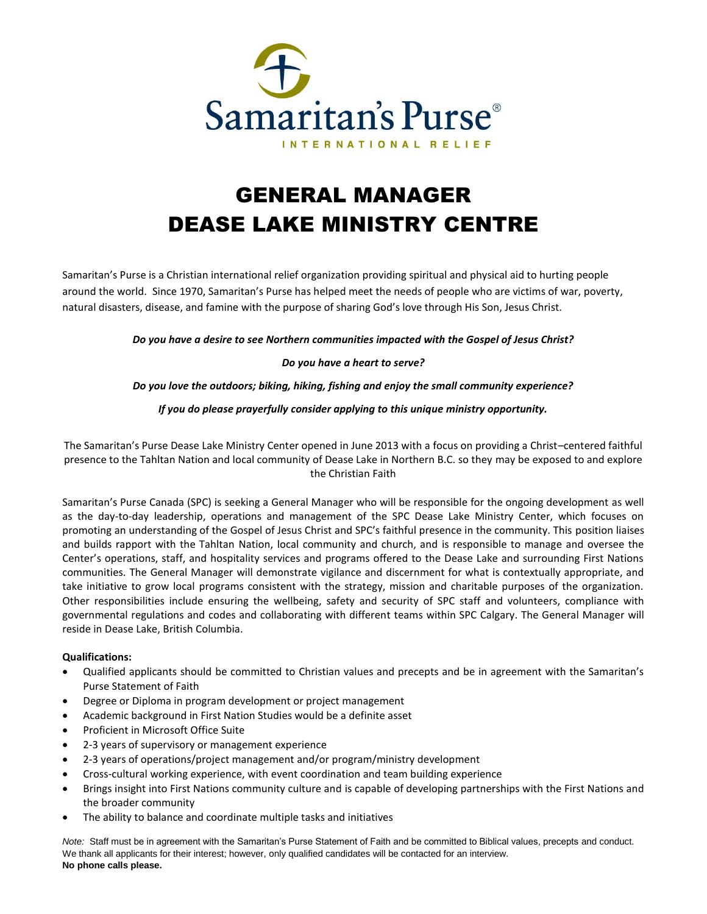

# GENERAL MANAGER DEASE LAKE MINISTRY CENTRE

Samaritan's Purse is a Christian international relief organization providing spiritual and physical aid to hurting people around the world. Since 1970, Samaritan's Purse has helped meet the needs of people who are victims of war, poverty, natural disasters, disease, and famine with the purpose of sharing God's love through His Son, Jesus Christ.

*Do you have a desire to see Northern communities impacted with the Gospel of Jesus Christ?*

# *Do you have a heart to serve?*

*Do you love the outdoors; biking, hiking, fishing and enjoy the small community experience?*

# *If you do please prayerfully consider applying to this unique ministry opportunity.*

The Samaritan's Purse Dease Lake Ministry Center opened in June 2013 with a focus on providing a Christ–centered faithful presence to the Tahltan Nation and local community of Dease Lake in Northern B.C. so they may be exposed to and explore the Christian Faith

Samaritan's Purse Canada (SPC) is seeking a General Manager who will be responsible for the ongoing development as well as the day-to-day leadership, operations and management of the SPC Dease Lake Ministry Center, which focuses on promoting an understanding of the Gospel of Jesus Christ and SPC's faithful presence in the community. This position liaises and builds rapport with the Tahltan Nation, local community and church, and is responsible to manage and oversee the Center's operations, staff, and hospitality services and programs offered to the Dease Lake and surrounding First Nations communities. The General Manager will demonstrate vigilance and discernment for what is contextually appropriate, and take initiative to grow local programs consistent with the strategy, mission and charitable purposes of the organization. Other responsibilities include ensuring the wellbeing, safety and security of SPC staff and volunteers, compliance with governmental regulations and codes and collaborating with different teams within SPC Calgary. The General Manager will reside in Dease Lake, British Columbia.

#### **Qualifications:**

- Qualified applicants should be committed to Christian values and precepts and be in agreement with the Samaritan's Purse Statement of Faith
- Degree or Diploma in program development or project management
- Academic background in First Nation Studies would be a definite asset
- Proficient in Microsoft Office Suite
- 2-3 years of supervisory or management experience
- 2-3 years of operations/project management and/or program/ministry development
- Cross-cultural working experience, with event coordination and team building experience
- Brings insight into First Nations community culture and is capable of developing partnerships with the First Nations and the broader community
- The ability to balance and coordinate multiple tasks and initiatives

*Note:* Staff must be in agreement with the Samaritan's Purse Statement of Faith and be committed to Biblical values, precepts and conduct. We thank all applicants for their interest; however, only qualified candidates will be contacted for an interview. **No phone calls please.**